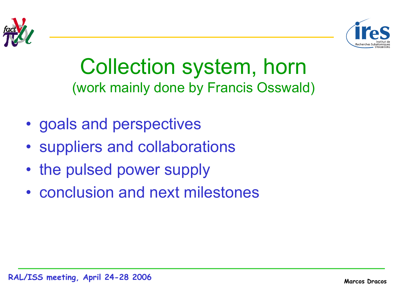



### Collection system, horn (work mainly done by Francis Osswald)

- goals and perspectives
- •suppliers and collaborations
- •• the pulsed power supply
- conclusion and next milestones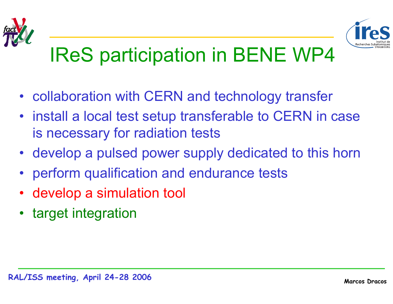



## IReS participation in BENE WP4

- collaboration with CERN and technology transfer
- install a local test setup transferable to CERN in case is necessary for radiation tests
- develop a pulsed power supply dedicated to this horn
- •perform qualification and endurance tests
- develop a simulation tool
- target integration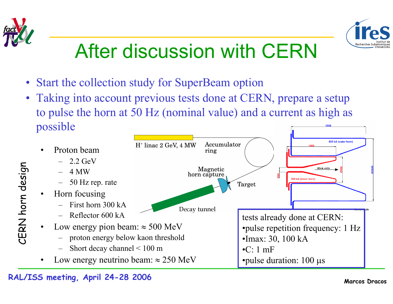



## After discussion with CERN

- •Start the collection study for SuperBeam option
- •Taking into account previous tests done at CERN, prepare a setup to pulse the horn at 50 Hz (nominal value) and a current as high as possible



#### **RAL/ISS meeting, April 24-28 2006 Marcos Dracos**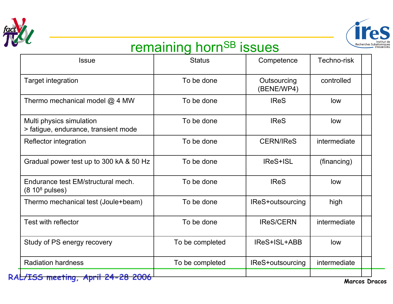



#### remaining horn<sup>SB</sup> issues

| <b>Issue</b>                                                     | <b>Status</b>   |                           | Techno-risk  |
|------------------------------------------------------------------|-----------------|---------------------------|--------------|
|                                                                  |                 | Competence                |              |
| <b>Target integration</b>                                        | To be done      | Outsourcing<br>(BENE/WP4) | controlled   |
| Thermo mechanical model @ 4 MW                                   | To be done      | <b>IReS</b>               | low          |
| Multi physics simulation<br>> fatigue, endurance, transient mode | To be done      | <b>IReS</b>               | low          |
| Reflector integration                                            | To be done      | <b>CERN/IReS</b>          | intermediate |
| Gradual power test up to 300 kA & 50 Hz                          | To be done      | IReS+ISL                  | (financing)  |
| Endurance test EM/structural mech.<br>$(8\ 10^8\ \text{pulses})$ | To be done      | <b>IReS</b>               | low          |
| Thermo mechanical test (Joule+beam)                              | To be done      | IReS+outsourcing          | high         |
| <b>Test with reflector</b>                                       | To be done      | <b>IReS/CERN</b>          | intermediate |
| Study of PS energy recovery                                      | To be completed | IReS+ISL+ABB              | low          |
|                                                                  |                 | IReS+outsourcing          | intermediate |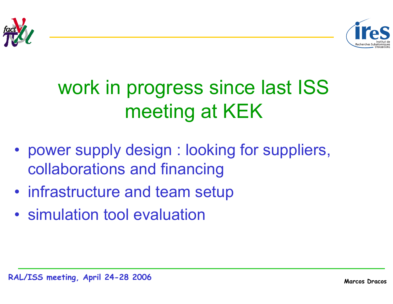



## work in progress since last ISS meeting at KEK

- • power supply design : looking for suppliers, collaborations and financing
- •infrastructure and team setup
- simulation tool evaluation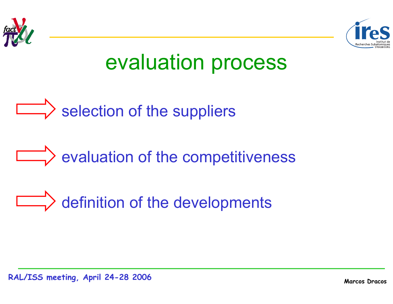



## evaluation process

### selection of the suppliers

#### $\Rightarrow$  evaluation of the competitiveness

### $\Rightarrow$  definition of the developments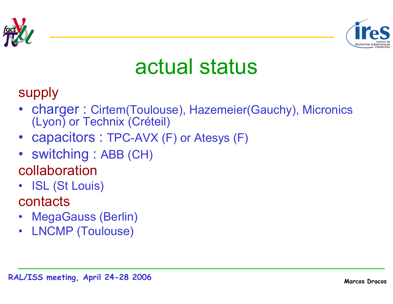



## actual status

supply

- charger : Cirtem(Toulouse), Hazemeier(Gauchy), Micronics (Lyon) or Technix (Créteil)
- capacitors : TPC-AVX (F) or Atesys (F)
- switching : ABB (CH)
- collaboration
- • ISL (St Louis) contacts
- MegaGauss (Berlin)
- •LNCMP (Toulouse)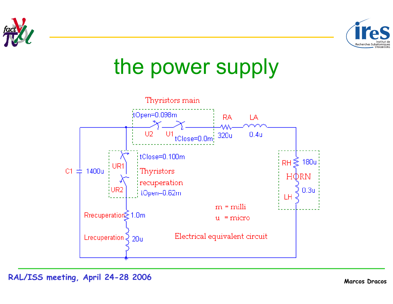



## the power supply

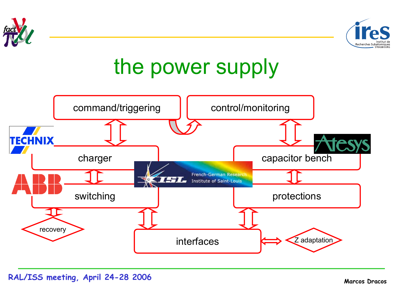



### the power supply



#### **RAL/ISS meeting, April 24-28 2006 Marcos Dracos**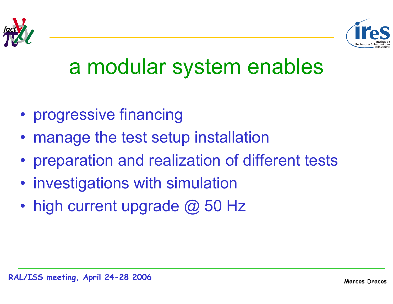



## a modular system enables

- •progressive financing
- •manage the test setup installation
- •preparation and realization of different tests
- investigations with simulation
- •• high current upgrade @ 50 Hz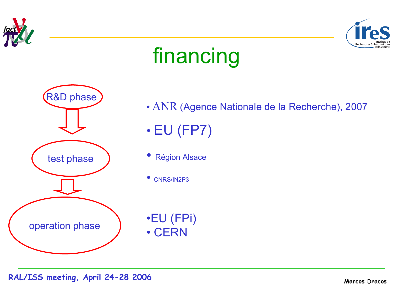



# financing